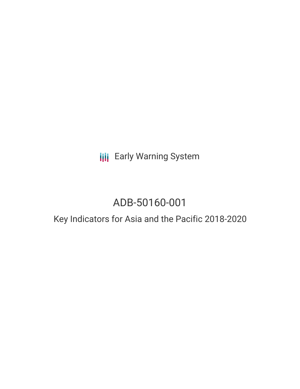**III** Early Warning System

# ADB-50160-001

# Key Indicators for Asia and the Pacific 2018-2020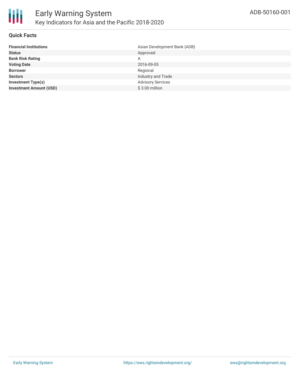

#### **Quick Facts**

| <b>Financial Institutions</b>  | Asian Development Bank (ADB) |
|--------------------------------|------------------------------|
| <b>Status</b>                  | Approved                     |
| <b>Bank Risk Rating</b>        | A                            |
| <b>Voting Date</b>             | 2016-09-05                   |
| <b>Borrower</b>                | Regional                     |
| <b>Sectors</b>                 | Industry and Trade           |
| <b>Investment Type(s)</b>      | <b>Advisory Services</b>     |
| <b>Investment Amount (USD)</b> | $$3.00$ million              |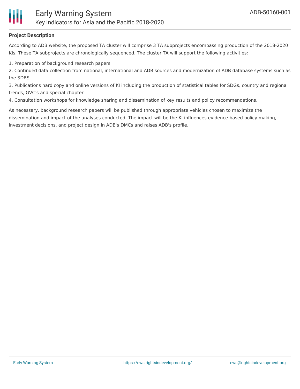

## **Project Description**

According to ADB website, the proposed TA cluster will comprise 3 TA subprojects encompassing production of the 2018-2020 KIs. These TA subprojects are chronologically sequenced. The cluster TA will support the following activities:

1. Preparation of background research papers

2. Continued data collection from national, international and ADB sources and modernization of ADB database systems such as the SDBS

3. Publications hard copy and online versions of KI including the production of statistical tables for SDGs, country and regional trends, GVC's and special chapter

4. Consultation workshops for knowledge sharing and dissemination of key results and policy recommendations.

As necessary, background research papers will be published through appropriate vehicles chosen to maximize the dissemination and impact of the analyses conducted. The impact will be the KI influences evidence-based policy making, investment decisions, and project design in ADB's DMCs and raises ADB's profile.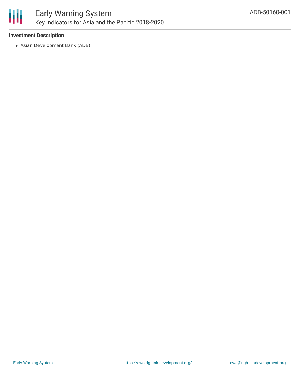

## **Investment Description**

Asian Development Bank (ADB)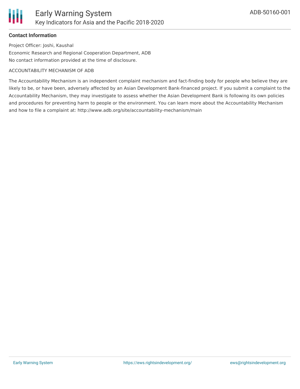### **Contact Information**

Project Officer: Joshi, Kaushal Economic Research and Regional Cooperation Department, ADB No contact information provided at the time of disclosure.

#### ACCOUNTABILITY MECHANISM OF ADB

The Accountability Mechanism is an independent complaint mechanism and fact-finding body for people who believe they are likely to be, or have been, adversely affected by an Asian Development Bank-financed project. If you submit a complaint to the Accountability Mechanism, they may investigate to assess whether the Asian Development Bank is following its own policies and procedures for preventing harm to people or the environment. You can learn more about the Accountability Mechanism and how to file a complaint at: http://www.adb.org/site/accountability-mechanism/main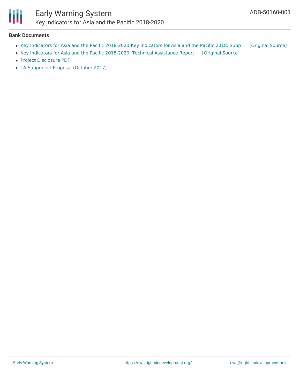

Ш

#### **Bank Documents**

- Key Indicators for Asia and the Pacific [2018-2020-Key](https://ewsdata.rightsindevelopment.org/files/documents/01/ADB-50160-001.pdf) Indicators for Asia and the Pacific 2018: Subp [\[Original](https://www.adb.org/projects/documents/key-indicators-asia-and-the-pacific-2018-2020-sp1-tasp) Source]
- Key Indicators for Asia and the Pacific [2018-2020:](https://ewsdata.rightsindevelopment.org/files/documents/01/ADB-50160-001_GCvmrSJ.pdf) Technical Assistance Report [\[Original](https://www.adb.org/projects/documents/key-indicators-asia-and-the-pacific-2018-2020-tar) Source]
- Project [Disclosure](https://www.adb.org/printpdf/projects/50160-001/main) PDF
- TA [Subproject](https://www.adb.org/sites/default/files/project-documents/50160/50160-006-tasp-en.pdf) Proposal (October 2017)